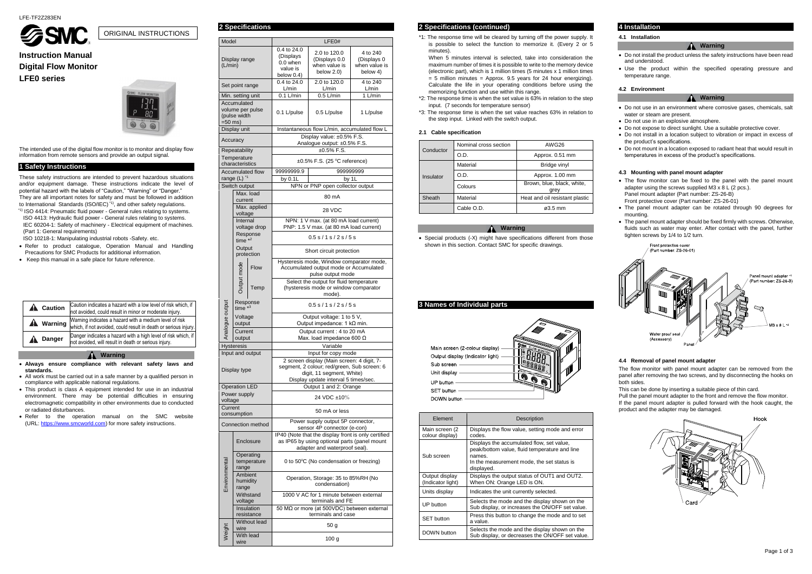

## **Instruction Manual Digital Flow Monitor LFE0 series**



These safety instructions are intended to prevent hazardous situations and/or equipment damage. These instructions indicate the level of potential hazard with the labels of "Caution," "Warning" or "Danger." They are all important notes for safety and must be followed in addition to International Standards (ISO/IEC)<sup>\*1)</sup>, and other safety regulations.

The intended use of the digital flow monitor is to monitor and display flow information from remote sensors and provide an output signal.

## **1 Safety Instructions**

 $41$ ) ISO 4414: Pneumatic fluid power - General rules relating to systems. ISO 4413: Hydraulic fluid power - General rules relating to systems. IEC 60204-1: Safety of machinery - Electrical equipment of machines. (Part 1: General requirements)

- Refer to product catalogue, Operation Manual and Handling Precautions for SMC Products for additional information.
- Keep this manual in a safe place for future reference.

ISO 10218-1: Manipulating industrial robots -Safety. etc.

|                  | <b>A</b> Caution | Caution indicates a hazard with a low level of risk which, if<br>not avoided, could result in minor or moderate injury.   |
|------------------|------------------|---------------------------------------------------------------------------------------------------------------------------|
| <b>A</b> Warning |                  | Warning indicates a hazard with a medium level of risk<br>which, if not avoided, could result in death or serious injury. |
|                  | <b>Danger</b>    | Danger indicates a hazard with a high level of risk which, if<br>not avoided, will result in death or serious injury.     |

When 5 minutes interval is selected, take into consideration the maximum number of times it is possible to write to the memory device (electronic part), which is 1 million times (5 minutes x 1 million times  $= 5$  million minutes  $=$  Approx. 9.5 years for 24 hour energizing). Calculate the life in your operating conditions before using the memorizing function and use within this range.

#### **Warning**

• Special products (-X) might have specifications different from those shown in this section. Contact SMC for specific drawings.

- **Always ensure compliance with relevant safety laws and standards.**
- All work must be carried out in a safe manner by a qualified person in compliance with applicable national regulations.
- This product is class A equipment intended for use in an industrial environment. There may be potential difficulties in ensuring electromagnetic compatibility in other environments due to conducted or radiated disturbances.
- Refer to the operation manual on the SMC website (URL: [https://www.smcworld.com\)](https://www.smcworld.com/) for more safety instructions.

## **2 Specifications 2 Specifications (continued)**

\*1: The response time will be cleared by turning off the power supply. It is possible to select the function to memorize it. (Every 2 or 5 minutes).

- The flow monitor can be fixed to the panel with the panel mount adapter using the screws supplied M3 x 8 L (2 pcs.). Panel mount adapter (Part number: ZS-26-B)
- Front protective cover (Part number: ZS-26-01)
- The panel mount adapter can be rotated through 90 degrees for mounting.
- The panel mount adapter should be fixed firmly with screws. Otherwise, fluids such as water may enter. After contact with the panel, further tighten screws by 1/4 to 1/2 turn.



- \*2: The response time is when the set value is 63% in relation to the step input. (7 seconds for temperature sensor)
- \*3: The response time is when the set value reaches 63% in relation to the step input. Linked with the switch output.

#### **2.1 Cable specification**

| Conductor | Nominal cross section | AWG26                              |
|-----------|-----------------------|------------------------------------|
|           | O.D.                  | Approx. 0.51 mm                    |
|           | Material              | Bridge vinyl                       |
| Insulator | O.D.                  | Approx. 1.00 mm                    |
|           | Colours               | Brown, blue, black, white,<br>grey |
| Sheath    | Material              | Heat and oil resistant plastic     |
|           | Cable O.D.            | $\varnothing$ 3.5 mm               |

## **Warning**

## **3 Names of Individual parts**



| Element                             | Description                                                                                                                                                      |  |  |
|-------------------------------------|------------------------------------------------------------------------------------------------------------------------------------------------------------------|--|--|
| Main screen (2<br>colour display)   | Displays the flow value, setting mode and error<br>codes.                                                                                                        |  |  |
| Sub screen                          | Displays the accumulated flow, set value,<br>peak/bottom value, fluid temperature and line<br>names.<br>In the measurement mode, the set status is<br>displayed. |  |  |
| Output display<br>(Indicator light) | Displays the output status of OUT1 and OUT2.<br>When ON: Orange LED is ON.                                                                                       |  |  |
| Units display                       | Indicates the unit currently selected.                                                                                                                           |  |  |
| UP button                           | Selects the mode and the display shown on the<br>Sub display, or increases the ON/OFF set value.                                                                 |  |  |
| <b>SET</b> button                   | Press this button to change the mode and to set<br>a value.                                                                                                      |  |  |
| DOWN button                         | Selects the mode and the display shown on the<br>Sub display, or decreases the ON/OFF set value.                                                                 |  |  |

## **4 Installation**

**4.1 Installation**

#### **Warning**

- Do not install the product unless the safety instructions have been read and understood.
- Use the product within the specified operating pressure and temperature range.

#### **4.2 Environment**

#### **Warning**

- Do not use in an environment where corrosive gases, chemicals, salt water or steam are present.
- Do not use in an explosive atmosphere.
- Do not expose to direct sunlight. Use a suitable protective cover.
- Do not install in a location subject to vibration or impact in excess of the product's specifications.
- Do not mount in a location exposed to radiant heat that would result in temperatures in excess of the product's specifications.

#### **4.3 Mounting with panel mount adapter**

#### **4.4 Removal of panel mount adapter**

The flow monitor with panel mount adapter can be removed from the panel after removing the two screws, and by disconnecting the hooks on both sides.

This can be done by inserting a suitable piece of thin card.

Pull the panel mount adapter to the front and remove the flow monitor. If the panel mount adapter is pulled forward with the hook caught, the product and the adapter may be damaged.



ORIGINAL INSTRUCTIONS

| Model           |                      | LFE0#                   |                                                                   |                                              |                              |  |  |  |
|-----------------|----------------------|-------------------------|-------------------------------------------------------------------|----------------------------------------------|------------------------------|--|--|--|
|                 |                      |                         | 0.4 to 24.0<br>2.0 to 120.0                                       |                                              |                              |  |  |  |
|                 |                      |                         | (Displays)                                                        |                                              | 4 to 240                     |  |  |  |
|                 | Display range        |                         | 0.0 when                                                          | (Displays 0.0<br>when value is               | (Displays 0<br>when value is |  |  |  |
|                 | (L/min)              |                         | value is                                                          | below $2.0$ )                                | below 4)                     |  |  |  |
|                 |                      |                         | below $0.4$ )                                                     |                                              |                              |  |  |  |
|                 | Set point range      |                         | 0.4 to 24.0                                                       | 2.0 to 120.0                                 | 4 to 240                     |  |  |  |
|                 |                      |                         | L/min                                                             | L/min                                        | L/min                        |  |  |  |
|                 | Min. setting unit    |                         | $0.1$ L/min                                                       | $0.5$ L/min                                  | 1 L/min                      |  |  |  |
|                 | Accumulated          |                         |                                                                   |                                              |                              |  |  |  |
|                 |                      | volume per pulse        |                                                                   |                                              |                              |  |  |  |
|                 | (pulse width         |                         |                                                                   | 0.1 L/pulse<br>0.5 L/pulse<br>1 L/pulse      |                              |  |  |  |
| $=50$ ms)       |                      |                         |                                                                   |                                              |                              |  |  |  |
|                 | Display unit         |                         |                                                                   | Instantaneous flow L/min, accumulated flow L |                              |  |  |  |
|                 |                      |                         |                                                                   | Display value: ±0.5% F.S.                    |                              |  |  |  |
|                 | Accuracy             |                         |                                                                   | Analogue output: ±0.5% F.S.                  |                              |  |  |  |
|                 | Repeatability        |                         |                                                                   | $±0.5\%$ F.S.                                |                              |  |  |  |
|                 | Temperature          |                         |                                                                   |                                              |                              |  |  |  |
|                 | characteristics      |                         | ±0.5% F.S. (25 °C reference)                                      |                                              |                              |  |  |  |
|                 |                      | <b>Accumulated flow</b> | 99999999.9<br>999999999                                           |                                              |                              |  |  |  |
|                 | range $(L)$ $1$      |                         | by $0.1L$                                                         |                                              | by 1L                        |  |  |  |
|                 |                      |                         |                                                                   | NPN or PNP open collector output             |                              |  |  |  |
|                 | Switch output        |                         |                                                                   |                                              |                              |  |  |  |
|                 |                      | Max. load               |                                                                   | 80 mA                                        |                              |  |  |  |
|                 | current              |                         |                                                                   |                                              |                              |  |  |  |
|                 |                      | Max. applied            |                                                                   | 28 VDC                                       |                              |  |  |  |
|                 | voltage              |                         |                                                                   |                                              |                              |  |  |  |
|                 | Internal             |                         |                                                                   | NPN: 1 V max. (at 80 mA load current)        |                              |  |  |  |
|                 |                      | voltage drop            |                                                                   | PNP: 1.5 V max. (at 80 mA load current)      |                              |  |  |  |
|                 |                      | Response                |                                                                   | 0.5 s / 1 s / 2 s / 5 s                      |                              |  |  |  |
|                 | time $*2$            |                         |                                                                   |                                              |                              |  |  |  |
|                 | Output               |                         |                                                                   | Short circuit protection                     |                              |  |  |  |
|                 |                      | protection              |                                                                   |                                              |                              |  |  |  |
|                 |                      |                         | Hysteresis mode, Window comparator mode,                          |                                              |                              |  |  |  |
|                 |                      | <b>Flow</b>             |                                                                   | Accumulated output mode or Accumulated       |                              |  |  |  |
|                 | Output mode          |                         |                                                                   | pulse output mode                            |                              |  |  |  |
|                 |                      |                         | Select the output for fluid temperature                           |                                              |                              |  |  |  |
|                 |                      | Temp                    | (hysteresis mode or window comparator                             |                                              |                              |  |  |  |
|                 |                      |                         | mode).                                                            |                                              |                              |  |  |  |
|                 | Response             |                         |                                                                   | 0.5 s / 1 s / 2 s / 5 s                      |                              |  |  |  |
| Analogue output | time $*3$            |                         |                                                                   |                                              |                              |  |  |  |
|                 | Voltage              |                         |                                                                   | Output voltage: 1 to 5 V,                    |                              |  |  |  |
|                 | output               |                         | Output impedance: $1 k\Omega$ min.                                |                                              |                              |  |  |  |
|                 | Current              |                         | Output current: 4 to 20 mA                                        |                                              |                              |  |  |  |
|                 | output               |                         |                                                                   | Max. load impedance 600 $\Omega$             |                              |  |  |  |
|                 | <b>Hysteresis</b>    |                         |                                                                   | Variable                                     |                              |  |  |  |
|                 |                      | Input and output        |                                                                   |                                              |                              |  |  |  |
|                 |                      |                         | Input for copy mode<br>2 screen display (Main screen: 4 digit, 7- |                                              |                              |  |  |  |
|                 |                      |                         |                                                                   | segment, 2 colour; red/green, Sub screen: 6  |                              |  |  |  |
|                 | Display type         |                         |                                                                   | digit, 11 segment, White)                    |                              |  |  |  |
|                 |                      |                         |                                                                   | Display update interval 5 times/sec.         |                              |  |  |  |
|                 | <b>Operation LED</b> |                         |                                                                   | Output 1 and 2: Orange                       |                              |  |  |  |
|                 | Power supply         |                         |                                                                   |                                              |                              |  |  |  |
| voltage         |                      |                         |                                                                   | 24 VDC ±10%                                  |                              |  |  |  |
| Current         |                      |                         |                                                                   |                                              |                              |  |  |  |
|                 |                      |                         |                                                                   | 50 mA or less                                |                              |  |  |  |
|                 | consumption          |                         |                                                                   |                                              |                              |  |  |  |
|                 |                      | Connection method       | Power supply output 5P connector,                                 |                                              |                              |  |  |  |
|                 |                      |                         |                                                                   | sensor 4P connector (e-con)                  |                              |  |  |  |
|                 |                      |                         | IP40 (Note that the display front is only certified               |                                              |                              |  |  |  |
|                 | Enclosure            |                         | as IP65 by using optional parts (panel mount                      |                                              |                              |  |  |  |
|                 |                      |                         | adapter and waterproof seal).                                     |                                              |                              |  |  |  |
|                 |                      | Operating               |                                                                   | 0 to 50°C (No condensation or freezing)      |                              |  |  |  |
| Environmental   | temperature<br>range |                         |                                                                   |                                              |                              |  |  |  |
|                 | Ambient              |                         |                                                                   |                                              |                              |  |  |  |
|                 | humidity             |                         |                                                                   | Operation, Storage: 35 to 85%RH (No          |                              |  |  |  |
|                 | range                |                         |                                                                   | condensation)                                |                              |  |  |  |
|                 |                      | Withstand               |                                                                   |                                              |                              |  |  |  |
|                 | voltage              |                         | 1000 V AC for 1 minute between external<br>terminals and FE       |                                              |                              |  |  |  |
|                 |                      |                         |                                                                   |                                              |                              |  |  |  |
|                 |                      | Insulation              |                                                                   | 50 MΩ or more (at 500VDC) between external   |                              |  |  |  |
|                 |                      | resistance              | terminals and case                                                |                                              |                              |  |  |  |
|                 | <b>Without lead</b>  |                         | 50 g                                                              |                                              |                              |  |  |  |
| Weight          | wire<br>With lead    |                         |                                                                   |                                              |                              |  |  |  |
|                 |                      |                         |                                                                   | 100 <sub>g</sub>                             |                              |  |  |  |
|                 | wire                 |                         |                                                                   |                                              |                              |  |  |  |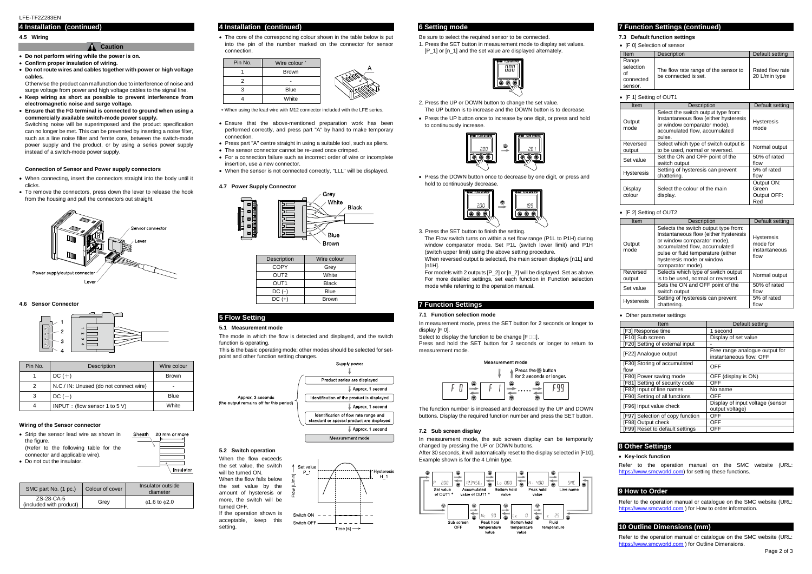#### **4 Installation (continued)**

#### **4.5 Wiring**

#### **A** Caution

Otherwise the product can malfunction due to interference of noise and surge voltage from power and high voltage cables to the signal line.

- **Do not perform wiring while the power is on.**
- **Confirm proper insulation of wiring.**
- **Do not route wires and cables together with power or high voltage cables.**

- **Keep wiring as short as possible to prevent interference from electromagnetic noise and surge voltage.**
- **Ensure that the FG terminal is connected to ground when using a commercially available switch-mode power supply.**

Switching noise will be superimposed and the product specification can no longer be met. This can be prevented by inserting a noise filter, such as a line noise filter and ferrite core, between the switch-mode power supply and the product, or by using a series power supply instead of a switch-mode power supply.

• The core of the corresponding colour shown in the table below is put into the pin of the number marked on the connector for sensor connection.

#### **Connection of Sensor and Power supply connectors**

- When connecting, insert the connectors straight into the body until it clicks.
- To remove the connectors, press down the lever to release the hook from the housing and pull the connectors out straight.



#### **4.6 Sensor Connector**



#### **Wiring of the Sensor connector**

- Strip the sensor lead wire as shown in the figure. (Refer to the following table for the connector and applicable wire).
- Do not cut the insulator.
- SMC part No. (1 pc.) Colour of cover Insulator outside diameter ZS-28-CA-5  $\begin{array}{c|c} \text{Z5-Z6-CA-3} & \text{Grey} & \phi 1.6 \text{ to } \phi 2.0 \end{array}$

## **4 Installation (continued)**



When using the lead wire with M12 connector included with the LFE series.

When reversed output is selected, the main screen displays [n1L] and [n1H].

- Ensure that the above-mentioned preparation work has been performed correctly, and press part "A" by hand to make temporary connection.
- Press part "A" centre straight in using a suitable tool, such as pliers.
- The sensor connector cannot be re-used once crimped. For a connection failure such as incorrect order of wire or incomplete
- insertion, use a new connector.
- When the sensor is not connected correctly, "LLL" will be displayed.

### **4.7 Power Supply Connector**



Refer to the operation manual on the SMC website (URL: [https://www.smcworld.com\)](https://www.smcworld.com/) for setting these functions.

## **5 Flow Setting**

#### **5.1 Measurement mode**

Refer to the operation manual or catalogue on the SMC website (URL: [https://www.smcworld.com](https://www.smcworld.com/) ) for How to order information.

The mode in which the flow is detected and displayed, and the switch function is operating.

This is the basic operating mode; other modes should be selected for setpoint and other function setting changes.



#### **5.2 Switch operation**

When the flow exceeds the set value, the switch will be turned ON. When the flow falls below the set value by the amount of hysteresis or more, the switch will be turned OFF.

If the operation shown is acceptable, keep this setting.



#### **6 Setting mode**

Be sure to select the required sensor to be connected. 1. Press the SET button in measurement mode to display set values. [P\_1] or [n\_1] and the set value are displayed alternately.



- 2. Press the UP or DOWN button to change the set value. The UP button is to increase and the DOWN button is to decrease.
- Press the UP button once to increase by one digit, or press and hold to continuously increase.



 Press the DOWN button once to decrease by one digit, or press and hold to continuously decrease.



3. Press the SET button to finish the setting.

The Flow switch turns on within a set flow range (P1L to P1H) during window comparator mode. Set P1L (switch lower limit) and P1H (switch upper limit) using the above setting procedure.

For models with 2 outputs [P\_2] or [n\_2] will be displayed. Set as above. For more detailed settings, set each function in Function selection mode while referring to the operation manual.

## **7 Function Settings**

#### **7.1 Function selection mode**

In measurement mode, press the SET button for 2 seconds or longer to display [F 0].

Select to display the function to be change  $[F \Box \Box]$ .

Press and hold the SET button for 2 seconds or longer to return to measurement mode.



The function number is increased and decreased by the UP and DOWN buttons. Display the required function number and press the SET button.

#### **7.2 Sub screen display**

In measurement mode, the sub screen display can be temporarily changed by pressing the UP or DOWN buttons.

After 30 seconds, it will automatically reset to the display selected in [F10]. Example shown is for the 4 L/min type.



## **7 Function Settings (continued)**

#### **7.3 Default function settings**

• [F 0] Selection of sensor

## **8 Other Settings**

#### **Key-lock function**

## **9 How to Order**

## **10 Outline Dimensions (mm)**

Refer to the operation manual or catalogue on the SMC website (URL: [https://www.smcworld.com](https://www.smcworld.com/) ) for Outline Dimensions.

| Pin No. | <b>Description</b>                     | Wire colour  |
|---------|----------------------------------------|--------------|
|         | $DC (+)$                               | <b>Brown</b> |
| 2       | N.C./ IN: Unused (do not connect wire) |              |
|         | $DC(-)$                                | Blue         |
|         | INPUT : (flow sensor 1 to 5 V)         | White        |

Sheath

20 mm or more

Insulator

| Description      | Wire colour  |  |
|------------------|--------------|--|
| <b>COPY</b>      | Grev         |  |
| OUT <sub>2</sub> | White        |  |
| OUT1             | <b>Black</b> |  |
| DC (-)           | <b>Blue</b>  |  |
| $DC (+)$         | <b>Brown</b> |  |

| Item                                             | Description                                                  | Default setting                  |
|--------------------------------------------------|--------------------------------------------------------------|----------------------------------|
| Range<br>selection<br>οf<br>connected<br>sensor. | The flow rate range of the sensor to<br>be connected is set. | Rated flow rate<br>20 L/min type |

#### • [F 1] Setting of OUT1

| Item<br>Description                                                                                                                                                      |                                       | Default setting           |  |
|--------------------------------------------------------------------------------------------------------------------------------------------------------------------------|---------------------------------------|---------------------------|--|
| Select the switch output type from:<br>Instantaneous flow (either hysteresis<br>Output<br>or window comparator mode),<br>mode<br>accumulated flow, accumulated<br>pulse. |                                       | <b>Hysteresis</b><br>mode |  |
| Reversed                                                                                                                                                                 | Select which type of switch output is | Normal output             |  |
| output                                                                                                                                                                   | to be used, normal or reversed.       |                           |  |
| Set value                                                                                                                                                                | Set the ON and OFF point of the       | 50% of rated              |  |
|                                                                                                                                                                          | switch output                         | flow                      |  |
| <b>Hysteresis</b>                                                                                                                                                        | Setting of hysteresis can prevent     | 5% of rated               |  |
|                                                                                                                                                                          | chattering.                           | flow                      |  |
|                                                                                                                                                                          |                                       | Output ON:                |  |
| Display                                                                                                                                                                  | Select the colour of the main         | Green                     |  |
| colour                                                                                                                                                                   | display.                              | Output OFF:               |  |
|                                                                                                                                                                          |                                       | Red                       |  |

#### • [F 2] Setting of OUT2

| Item                                                                                                                                                                                                                                                    | Description                                                               | Default setting                                        |
|---------------------------------------------------------------------------------------------------------------------------------------------------------------------------------------------------------------------------------------------------------|---------------------------------------------------------------------------|--------------------------------------------------------|
| Selects the switch output type from:<br>Instantaneous flow (either hysteresis<br>or window comparator mode),<br>Output<br>accumulated flow, accumulated<br>mode<br>pulse or fluid temperature (either<br>hysteresis mode or window<br>comparator mode). |                                                                           | <b>Hysteresis</b><br>mode for<br>instantaneous<br>flow |
| Reversed<br>output                                                                                                                                                                                                                                      | Selects which type of switch output<br>is to be used, normal or reversed. |                                                        |
| Set value                                                                                                                                                                                                                                               | Sets the ON and OFF point of the<br>switch output                         | 50% of rated<br>flow                                   |
| <b>Hysteresis</b>                                                                                                                                                                                                                                       | Setting of hysteresis can prevent<br>chattering.                          | 5% of rated<br>flow                                    |

#### Other parameter settings

| Item                                 | Default setting                                           |  |
|--------------------------------------|-----------------------------------------------------------|--|
| [F3] Response time                   | 1 second                                                  |  |
| [F10] Sub screen                     | Display of set value                                      |  |
| [F20] Setting of external input      |                                                           |  |
| [F22] Analogue output                | Free range analogue output for<br>instantaneous flow: OFF |  |
| [F30] Storing of accumulated<br>flow | OFF                                                       |  |
| [F80] Power saving mode              | OFF (display is ON)                                       |  |
| [F81] Setting of security code       | OFF                                                       |  |
| [F82] Input of line names            | No name                                                   |  |
| [F90] Setting of all functions       | OFF                                                       |  |
| [F96] Input value check              | Display of input voltage (sensor<br>output voltage)       |  |
| [F97] Selection of copy function     | OFF                                                       |  |
| [F98] Output check                   | OFF                                                       |  |
| [F99] Reset to default settings      | OFF                                                       |  |